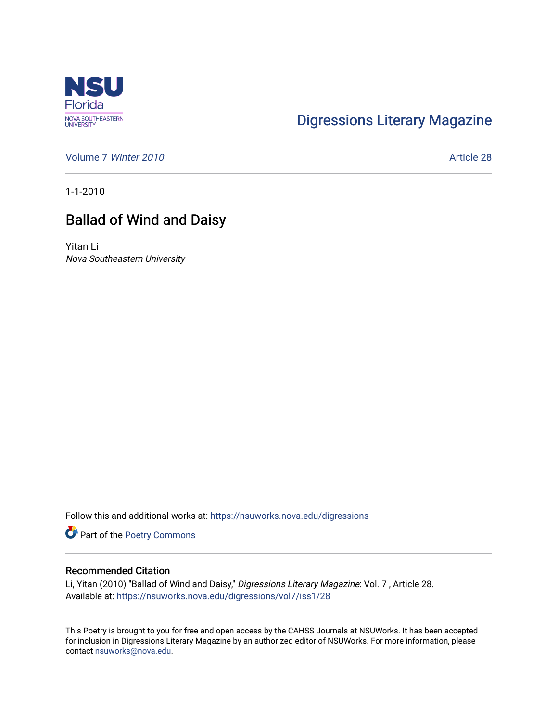

## [Digressions Literary Magazine](https://nsuworks.nova.edu/digressions)

[Volume 7](https://nsuworks.nova.edu/digressions/vol7) Winter 2010 **Article 28** 

1-1-2010

## Ballad of Wind and Daisy

Yitan Li Nova Southeastern University

Follow this and additional works at: [https://nsuworks.nova.edu/digressions](https://nsuworks.nova.edu/digressions?utm_source=nsuworks.nova.edu%2Fdigressions%2Fvol7%2Fiss1%2F28&utm_medium=PDF&utm_campaign=PDFCoverPages) 

Part of the [Poetry Commons](http://network.bepress.com/hgg/discipline/1153?utm_source=nsuworks.nova.edu%2Fdigressions%2Fvol7%2Fiss1%2F28&utm_medium=PDF&utm_campaign=PDFCoverPages) 

## Recommended Citation

Li, Yitan (2010) "Ballad of Wind and Daisy," Digressions Literary Magazine: Vol. 7 , Article 28. Available at: [https://nsuworks.nova.edu/digressions/vol7/iss1/28](https://nsuworks.nova.edu/digressions/vol7/iss1/28?utm_source=nsuworks.nova.edu%2Fdigressions%2Fvol7%2Fiss1%2F28&utm_medium=PDF&utm_campaign=PDFCoverPages) 

This Poetry is brought to you for free and open access by the CAHSS Journals at NSUWorks. It has been accepted for inclusion in Digressions Literary Magazine by an authorized editor of NSUWorks. For more information, please contact [nsuworks@nova.edu.](mailto:nsuworks@nova.edu)